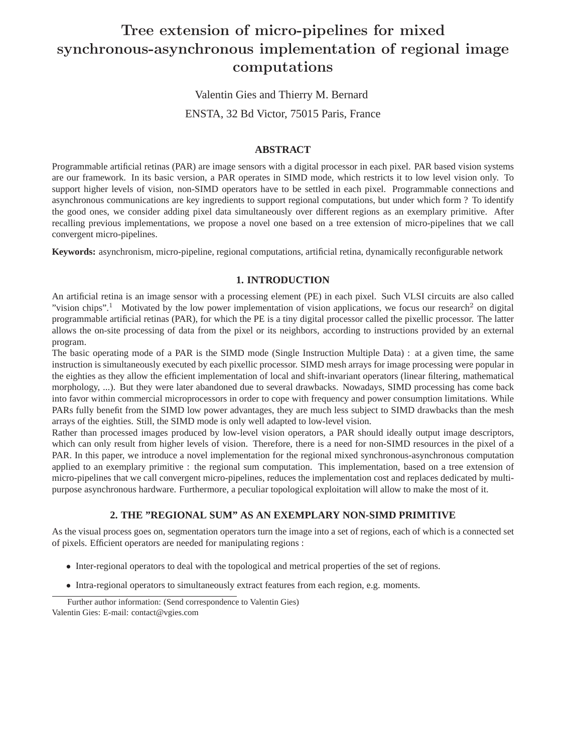# **Tree extension of micro-pipelines for mixed synchronous-asynchronous implementation of regional image computations**

Valentin Gies and Thierry M. Bernard

ENSTA, 32 Bd Victor, 75015 Paris, France

# **ABSTRACT**

Programmable artificial retinas (PAR) are image sensors with a digital processor in each pixel. PAR based vision systems are our framework. In its basic version, a PAR operates in SIMD mode, which restricts it to low level vision only. To support higher levels of vision, non-SIMD operators have to be settled in each pixel. Programmable connections and asynchronous communications are key ingredients to support regional computations, but under which form ? To identify the good ones, we consider adding pixel data simultaneously over different regions as an exemplary primitive. After recalling previous implementations, we propose a novel one based on a tree extension of micro-pipelines that we call convergent micro-pipelines.

**Keywords:** asynchronism, micro-pipeline, regional computations, artificial retina, dynamically reconfigurable network

# **1. INTRODUCTION**

An artificial retina is an image sensor with a processing element (PE) in each pixel. Such VLSI circuits are also called "vision chips".<sup>1</sup> Motivated by the low power implementation of vision applications, we focus our research<sup>2</sup> on digital programmable artificial retinas (PAR), for which the PE is a tiny digital processor called the pixellic processor. The latter allows the on-site processing of data from the pixel or its neighbors, according to instructions provided by an external program.

The basic operating mode of a PAR is the SIMD mode (Single Instruction Multiple Data) : at a given time, the same instruction is simultaneously executed by each pixellic processor. SIMD mesh arrays for image processing were popular in the eighties as they allow the efficient implementation of local and shift-invariant operators (linear filtering, mathematical morphology, ...). But they were later abandoned due to several drawbacks. Nowadays, SIMD processing has come back into favor within commercial microprocessors in order to cope with frequency and power consumption limitations. While PARs fully benefit from the SIMD low power advantages, they are much less subject to SIMD drawbacks than the mesh arrays of the eighties. Still, the SIMD mode is only well adapted to low-level vision.

Rather than processed images produced by low-level vision operators, a PAR should ideally output image descriptors, which can only result from higher levels of vision. Therefore, there is a need for non-SIMD resources in the pixel of a PAR. In this paper, we introduce a novel implementation for the regional mixed synchronous-asynchronous computation applied to an exemplary primitive : the regional sum computation. This implementation, based on a tree extension of micro-pipelines that we call convergent micro-pipelines, reduces the implementation cost and replaces dedicated by multipurpose asynchronous hardware. Furthermore, a peculiar topological exploitation will allow to make the most of it.

# **2. THE "REGIONAL SUM" AS AN EXEMPLARY NON-SIMD PRIMITIVE**

As the visual process goes on, segmentation operators turn the image into a set of regions, each of which is a connected set of pixels. Efficient operators are needed for manipulating regions :

- Inter-regional operators to deal with the topological and metrical properties of the set of regions.
- Intra-regional operators to simultaneously extract features from each region, e.g. moments.

Further author information: (Send correspondence to Valentin Gies) Valentin Gies: E-mail: contact@vgies.com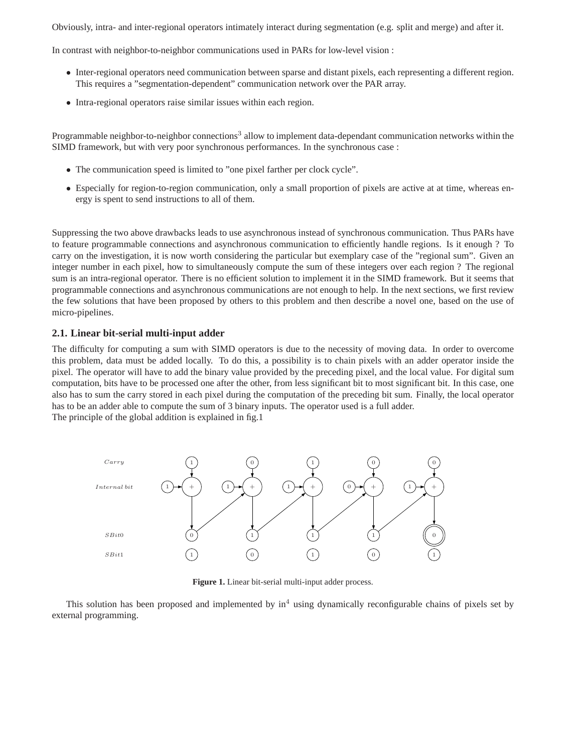Obviously, intra- and inter-regional operators intimately interact during segmentation (e.g. split and merge) and after it.

In contrast with neighbor-to-neighbor communications used in PARs for low-level vision :

- Inter-regional operators need communication between sparse and distant pixels, each representing a different region. This requires a "segmentation-dependent" communication network over the PAR array.
- Intra-regional operators raise similar issues within each region.

Programmable neighbor-to-neighbor connections<sup>3</sup> allow to implement data-dependant communication networks within the SIMD framework, but with very poor synchronous performances. In the synchronous case :

- The communication speed is limited to "one pixel farther per clock cycle".
- Especially for region-to-region communication, only a small proportion of pixels are active at at time, whereas energy is spent to send instructions to all of them.

Suppressing the two above drawbacks leads to use asynchronous instead of synchronous communication. Thus PARs have to feature programmable connections and asynchronous communication to efficiently handle regions. Is it enough ? To carry on the investigation, it is now worth considering the particular but exemplary case of the "regional sum". Given an integer number in each pixel, how to simultaneously compute the sum of these integers over each region ? The regional sum is an intra-regional operator. There is no efficient solution to implement it in the SIMD framework. But it seems that programmable connections and asynchronous communications are not enough to help. In the next sections, we first review the few solutions that have been proposed by others to this problem and then describe a novel one, based on the use of micro-pipelines.

#### **2.1. Linear bit-serial multi-input adder**

The difficulty for computing a sum with SIMD operators is due to the necessity of moving data. In order to overcome this problem, data must be added locally. To do this, a possibility is to chain pixels with an adder operator inside the pixel. The operator will have to add the binary value provided by the preceding pixel, and the local value. For digital sum computation, bits have to be processed one after the other, from less significant bit to most significant bit. In this case, one also has to sum the carry stored in each pixel during the computation of the preceding bit sum. Finally, the local operator has to be an adder able to compute the sum of 3 binary inputs. The operator used is a full adder. The principle of the global addition is explained in fig.1



**Figure 1.** Linear bit-serial multi-input adder process.

This solution has been proposed and implemented by  $in<sup>4</sup>$  using dynamically reconfigurable chains of pixels set by external programming.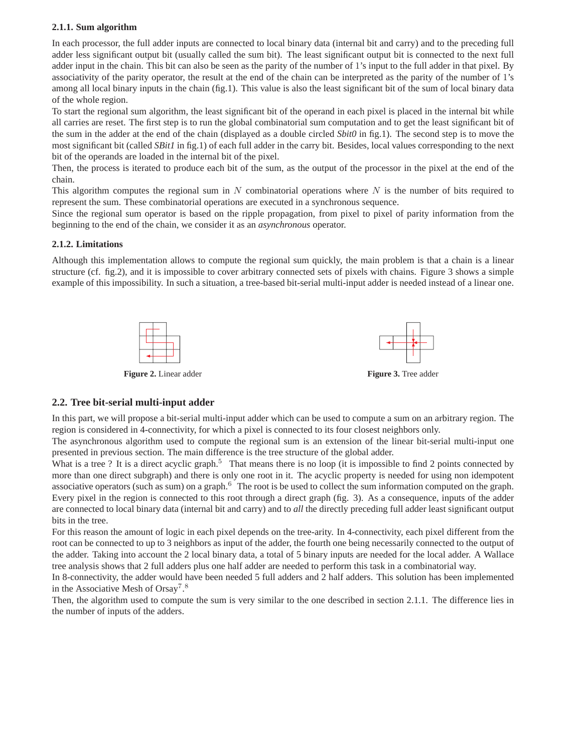#### **2.1.1. Sum algorithm**

In each processor, the full adder inputs are connected to local binary data (internal bit and carry) and to the preceding full adder less significant output bit (usually called the sum bit). The least significant output bit is connected to the next full adder input in the chain. This bit can also be seen as the parity of the number of 1's input to the full adder in that pixel. By associativity of the parity operator, the result at the end of the chain can be interpreted as the parity of the number of 1's among all local binary inputs in the chain (fig.1). This value is also the least significant bit of the sum of local binary data of the whole region.

To start the regional sum algorithm, the least significant bit of the operand in each pixel is placed in the internal bit while all carries are reset. The first step is to run the global combinatorial sum computation and to get the least significant bit of the sum in the adder at the end of the chain (displayed as a double circled *Sbit0* in fig.1). The second step is to move the most significant bit (called *SBit1* in fig.1) of each full adder in the carry bit. Besides, local values corresponding to the next bit of the operands are loaded in the internal bit of the pixel.

Then, the process is iterated to produce each bit of the sum, as the output of the processor in the pixel at the end of the chain.

This algorithm computes the regional sum in N combinatorial operations where N is the number of bits required to represent the sum. These combinatorial operations are executed in a synchronous sequence.

Since the regional sum operator is based on the ripple propagation, from pixel to pixel of parity information from the beginning to the end of the chain, we consider it as an *asynchronous* operator.

#### **2.1.2. Limitations**

Although this implementation allows to compute the regional sum quickly, the main problem is that a chain is a linear structure (cf. fig.2), and it is impossible to cover arbitrary connected sets of pixels with chains. Figure 3 shows a simple example of this impossibility. In such a situation, a tree-based bit-serial multi-input adder is needed instead of a linear one.



# **2.2. Tree bit-serial multi-input adder**

In this part, we will propose a bit-serial multi-input adder which can be used to compute a sum on an arbitrary region. The region is considered in 4-connectivity, for which a pixel is connected to its four closest neighbors only.

The asynchronous algorithm used to compute the regional sum is an extension of the linear bit-serial multi-input one presented in previous section. The main difference is the tree structure of the global adder.

What is a tree ? It is a direct acyclic graph.<sup>5</sup> That means there is no loop (it is impossible to find 2 points connected by more than one direct subgraph) and there is only one root in it. The acyclic property is needed for using non idempotent associative operators (such as sum) on a graph. $6$  The root is be used to collect the sum information computed on the graph. Every pixel in the region is connected to this root through a direct graph (fig. 3). As a consequence, inputs of the adder are connected to local binary data (internal bit and carry) and to *all* the directly preceding full adder least significant output bits in the tree.

For this reason the amount of logic in each pixel depends on the tree-arity. In 4-connectivity, each pixel different from the root can be connected to up to 3 neighbors as input of the adder, the fourth one being necessarily connected to the output of the adder. Taking into account the 2 local binary data, a total of 5 binary inputs are needed for the local adder. A Wallace tree analysis shows that 2 full adders plus one half adder are needed to perform this task in a combinatorial way.

In 8-connectivity, the adder would have been needed 5 full adders and 2 half adders. This solution has been implemented in the Associative Mesh of Orsay<sup>7</sup>.<sup>8</sup>

Then, the algorithm used to compute the sum is very similar to the one described in section 2.1.1. The difference lies in the number of inputs of the adders.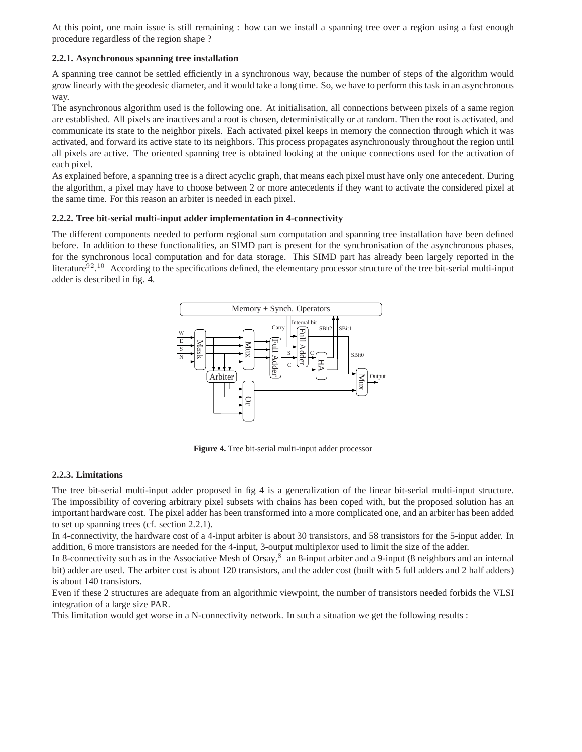At this point, one main issue is still remaining : how can we install a spanning tree over a region using a fast enough procedure regardless of the region shape ?

#### **2.2.1. Asynchronous spanning tree installation**

A spanning tree cannot be settled efficiently in a synchronous way, because the number of steps of the algorithm would grow linearly with the geodesic diameter, and it would take a long time. So, we have to perform this task in an asynchronous way.

The asynchronous algorithm used is the following one. At initialisation, all connections between pixels of a same region are established. All pixels are inactives and a root is chosen, deterministically or at random. Then the root is activated, and communicate its state to the neighbor pixels. Each activated pixel keeps in memory the connection through which it was activated, and forward its active state to its neighbors. This process propagates asynchronously throughout the region until all pixels are active. The oriented spanning tree is obtained looking at the unique connections used for the activation of each pixel.

As explained before, a spanning tree is a direct acyclic graph, that means each pixel must have only one antecedent. During the algorithm, a pixel may have to choose between 2 or more antecedents if they want to activate the considered pixel at the same time. For this reason an arbiter is needed in each pixel.

#### **2.2.2. Tree bit-serial multi-input adder implementation in 4-connectivity**

The different components needed to perform regional sum computation and spanning tree installation have been defined before. In addition to these functionalities, an SIMD part is present for the synchronisation of the asynchronous phases, for the synchronous local computation and for data storage. This SIMD part has already been largely reported in the literature<sup>92.10</sup> According to the specifications defined, the elementary processor structure of the tree bit-serial multi-input adder is described in fig. 4.



**Figure 4.** Tree bit-serial multi-input adder processor

# **2.2.3. Limitations**

The tree bit-serial multi-input adder proposed in fig 4 is a generalization of the linear bit-serial multi-input structure. The impossibility of covering arbitrary pixel subsets with chains has been coped with, but the proposed solution has an important hardware cost. The pixel adder has been transformed into a more complicated one, and an arbiter has been added to set up spanning trees (cf. section 2.2.1).

In 4-connectivity, the hardware cost of a 4-input arbiter is about 30 transistors, and 58 transistors for the 5-input adder. In addition, 6 more transistors are needed for the 4-input, 3-output multiplexor used to limit the size of the adder.

In 8-connectivity such as in the Associative Mesh of Orsay, $8$  an 8-input arbiter and a 9-input (8 neighbors and an internal bit) adder are used. The arbiter cost is about 120 transistors, and the adder cost (built with 5 full adders and 2 half adders) is about 140 transistors.

Even if these 2 structures are adequate from an algorithmic viewpoint, the number of transistors needed forbids the VLSI integration of a large size PAR.

This limitation would get worse in a N-connectivity network. In such a situation we get the following results :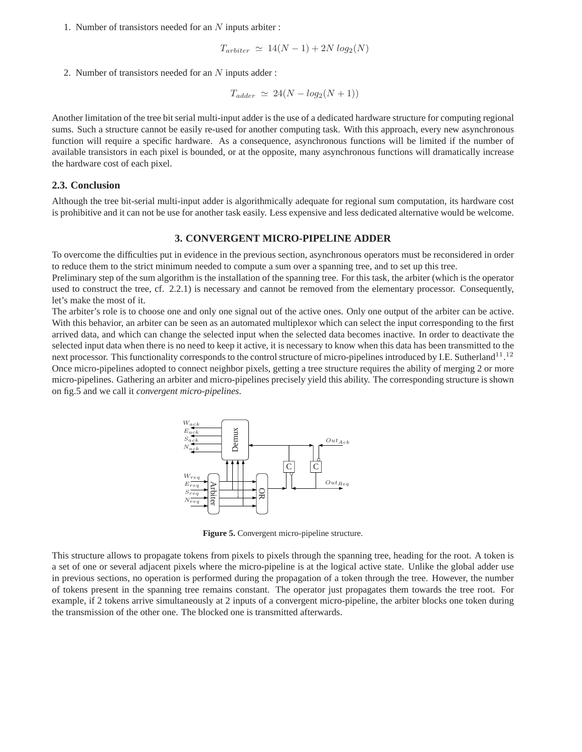1. Number of transistors needed for an N inputs arbiter :

$$
T_{arbiter} \simeq 14(N-1) + 2N \log_2(N)
$$

2. Number of transistors needed for an  $N$  inputs adder :

$$
T_{adder} \simeq 24(N - log_2(N + 1))
$$

Another limitation of the tree bit serial multi-input adder is the use of a dedicated hardware structure for computing regional sums. Such a structure cannot be easily re-used for another computing task. With this approach, every new asynchronous function will require a specific hardware. As a consequence, asynchronous functions will be limited if the number of available transistors in each pixel is bounded, or at the opposite, many asynchronous functions will dramatically increase the hardware cost of each pixel.

#### **2.3. Conclusion**

Although the tree bit-serial multi-input adder is algorithmically adequate for regional sum computation, its hardware cost is prohibitive and it can not be use for another task easily. Less expensive and less dedicated alternative would be welcome.

#### **3. CONVERGENT MICRO-PIPELINE ADDER**

To overcome the difficulties put in evidence in the previous section, asynchronous operators must be reconsidered in order to reduce them to the strict minimum needed to compute a sum over a spanning tree, and to set up this tree.

Preliminary step of the sum algorithm is the installation of the spanning tree. For this task, the arbiter (which is the operator used to construct the tree, cf. 2.2.1) is necessary and cannot be removed from the elementary processor. Consequently, let's make the most of it.

The arbiter's role is to choose one and only one signal out of the active ones. Only one output of the arbiter can be active. With this behavior, an arbiter can be seen as an automated multiplexor which can select the input corresponding to the first arrived data, and which can change the selected input when the selected data becomes inactive. In order to deactivate the selected input data when there is no need to keep it active, it is necessary to know when this data has been transmitted to the next processor. This functionality corresponds to the control structure of micro-pipelines introduced by I.E. Sutherland<sup>11</sup>.<sup>12</sup> Once micro-pipelines adopted to connect neighbor pixels, getting a tree structure requires the ability of merging 2 or more micro-pipelines. Gathering an arbiter and micro-pipelines precisely yield this ability. The corresponding structure is shown on fig.5 and we call it *convergent micro-pipelines*.



**Figure 5.** Convergent micro-pipeline structure.

This structure allows to propagate tokens from pixels to pixels through the spanning tree, heading for the root. A token is a set of one or several adjacent pixels where the micro-pipeline is at the logical active state. Unlike the global adder use in previous sections, no operation is performed during the propagation of a token through the tree. However, the number of tokens present in the spanning tree remains constant. The operator just propagates them towards the tree root. For example, if 2 tokens arrive simultaneously at 2 inputs of a convergent micro-pipeline, the arbiter blocks one token during the transmission of the other one. The blocked one is transmitted afterwards.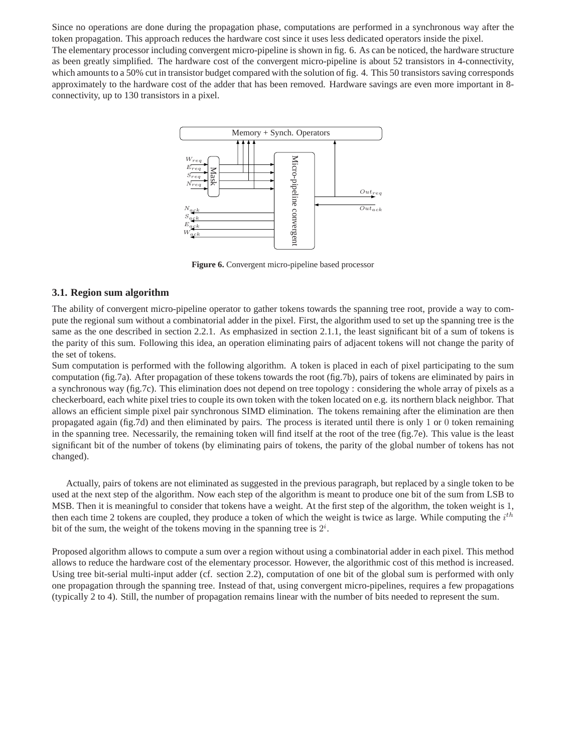Since no operations are done during the propagation phase, computations are performed in a synchronous way after the token propagation. This approach reduces the hardware cost since it uses less dedicated operators inside the pixel.

The elementary processor including convergent micro-pipeline is shown in fig. 6. As can be noticed, the hardware structure as been greatly simplified. The hardware cost of the convergent micro-pipeline is about 52 transistors in 4-connectivity, which amounts to a 50% cut in transistor budget compared with the solution of fig. 4. This 50 transistors saving corresponds approximately to the hardware cost of the adder that has been removed. Hardware savings are even more important in 8 connectivity, up to 130 transistors in a pixel.



**Figure 6.** Convergent micro-pipeline based processor

#### **3.1. Region sum algorithm**

The ability of convergent micro-pipeline operator to gather tokens towards the spanning tree root, provide a way to compute the regional sum without a combinatorial adder in the pixel. First, the algorithm used to set up the spanning tree is the same as the one described in section 2.2.1. As emphasized in section 2.1.1, the least significant bit of a sum of tokens is the parity of this sum. Following this idea, an operation eliminating pairs of adjacent tokens will not change the parity of the set of tokens.

Sum computation is performed with the following algorithm. A token is placed in each of pixel participating to the sum computation (fig.7a). After propagation of these tokens towards the root (fig.7b), pairs of tokens are eliminated by pairs in a synchronous way (fig.7c). This elimination does not depend on tree topology : considering the whole array of pixels as a checkerboard, each white pixel tries to couple its own token with the token located on e.g. its northern black neighbor. That allows an efficient simple pixel pair synchronous SIMD elimination. The tokens remaining after the elimination are then propagated again (fig.7d) and then eliminated by pairs. The process is iterated until there is only 1 or 0 token remaining in the spanning tree. Necessarily, the remaining token will find itself at the root of the tree (fig.7e). This value is the least significant bit of the number of tokens (by eliminating pairs of tokens, the parity of the global number of tokens has not changed).

Actually, pairs of tokens are not eliminated as suggested in the previous paragraph, but replaced by a single token to be used at the next step of the algorithm. Now each step of the algorithm is meant to produce one bit of the sum from LSB to MSB. Then it is meaningful to consider that tokens have a weight. At the first step of the algorithm, the token weight is 1, then each time 2 tokens are coupled, they produce a token of which the weight is twice as large. While computing the  $i^{th}$ bit of the sum, the weight of the tokens moving in the spanning tree is  $2^i$ .

Proposed algorithm allows to compute a sum over a region without using a combinatorial adder in each pixel. This method allows to reduce the hardware cost of the elementary processor. However, the algorithmic cost of this method is increased. Using tree bit-serial multi-input adder (cf. section 2.2), computation of one bit of the global sum is performed with only one propagation through the spanning tree. Instead of that, using convergent micro-pipelines, requires a few propagations (typically 2 to 4). Still, the number of propagation remains linear with the number of bits needed to represent the sum.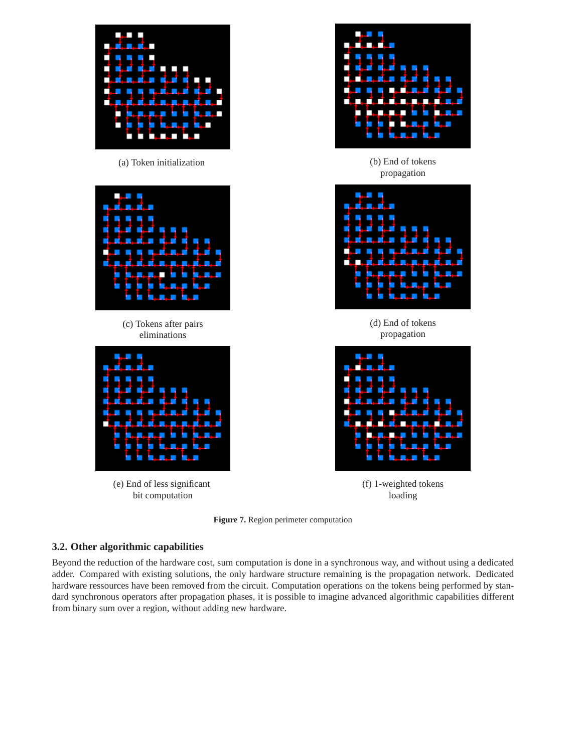



#### **3.2. Other algorithmic capabilities**

Beyond the reduction of the hardware cost, sum computation is done in a synchronous way, and without using a dedicated adder. Compared with existing solutions, the only hardware structure remaining is the propagation network. Dedicated hardware ressources have been removed from the circuit. Computation operations on the tokens being performed by standard synchronous operators after propagation phases, it is possible to imagine advanced algorithmic capabilities different from binary sum over a region, without adding new hardware.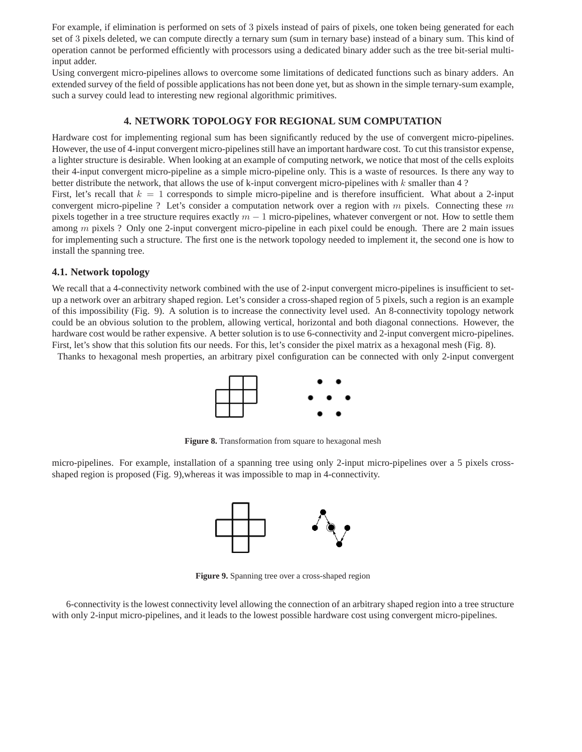For example, if elimination is performed on sets of 3 pixels instead of pairs of pixels, one token being generated for each set of 3 pixels deleted, we can compute directly a ternary sum (sum in ternary base) instead of a binary sum. This kind of operation cannot be performed efficiently with processors using a dedicated binary adder such as the tree bit-serial multiinput adder.

Using convergent micro-pipelines allows to overcome some limitations of dedicated functions such as binary adders. An extended survey of the field of possible applications has not been done yet, but as shown in the simple ternary-sum example, such a survey could lead to interesting new regional algorithmic primitives.

# **4. NETWORK TOPOLOGY FOR REGIONAL SUM COMPUTATION**

Hardware cost for implementing regional sum has been significantly reduced by the use of convergent micro-pipelines. However, the use of 4-input convergent micro-pipelines still have an important hardware cost. To cut this transistor expense, a lighter structure is desirable. When looking at an example of computing network, we notice that most of the cells exploits their 4-input convergent micro-pipeline as a simple micro-pipeline only. This is a waste of resources. Is there any way to better distribute the network, that allows the use of k-input convergent micro-pipelines with  $k$  smaller than 4 ?

First, let's recall that  $k = 1$  corresponds to simple micro-pipeline and is therefore insufficient. What about a 2-input convergent micro-pipeline ? Let's consider a computation network over a region with  $m$  pixels. Connecting these  $m$ pixels together in a tree structure requires exactly  $m - 1$  micro-pipelines, whatever convergent or not. How to settle them among  $m$  pixels ? Only one 2-input convergent micro-pipeline in each pixel could be enough. There are 2 main issues for implementing such a structure. The first one is the network topology needed to implement it, the second one is how to install the spanning tree.

# **4.1. Network topology**

We recall that a 4-connectivity network combined with the use of 2-input convergent micro-pipelines is insufficient to setup a network over an arbitrary shaped region. Let's consider a cross-shaped region of 5 pixels, such a region is an example of this impossibility (Fig. 9). A solution is to increase the connectivity level used. An 8-connectivity topology network could be an obvious solution to the problem, allowing vertical, horizontal and both diagonal connections. However, the hardware cost would be rather expensive. A better solution is to use 6-connectivity and 2-input convergent micro-pipelines. First, let's show that this solution fits our needs. For this, let's consider the pixel matrix as a hexagonal mesh (Fig. 8).

Thanks to hexagonal mesh properties, an arbitrary pixel configuration can be connected with only 2-input convergent



**Figure 8.** Transformation from square to hexagonal mesh

micro-pipelines. For example, installation of a spanning tree using only 2-input micro-pipelines over a 5 pixels crossshaped region is proposed (Fig. 9),whereas it was impossible to map in 4-connectivity.



**Figure 9.** Spanning tree over a cross-shaped region

6-connectivity is the lowest connectivity level allowing the connection of an arbitrary shaped region into a tree structure with only 2-input micro-pipelines, and it leads to the lowest possible hardware cost using convergent micro-pipelines.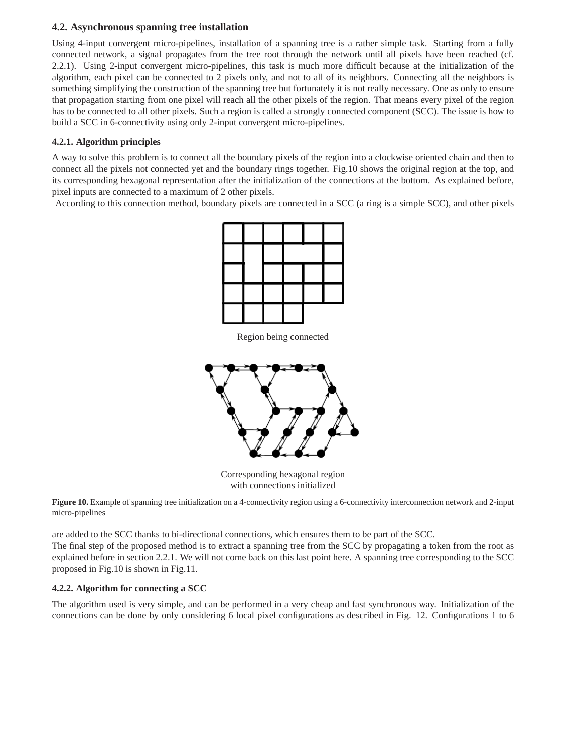# **4.2. Asynchronous spanning tree installation**

Using 4-input convergent micro-pipelines, installation of a spanning tree is a rather simple task. Starting from a fully connected network, a signal propagates from the tree root through the network until all pixels have been reached (cf. 2.2.1). Using 2-input convergent micro-pipelines, this task is much more difficult because at the initialization of the algorithm, each pixel can be connected to 2 pixels only, and not to all of its neighbors. Connecting all the neighbors is something simplifying the construction of the spanning tree but fortunately it is not really necessary. One as only to ensure that propagation starting from one pixel will reach all the other pixels of the region. That means every pixel of the region has to be connected to all other pixels. Such a region is called a strongly connected component (SCC). The issue is how to build a SCC in 6-connectivity using only 2-input convergent micro-pipelines.

# **4.2.1. Algorithm principles**

A way to solve this problem is to connect all the boundary pixels of the region into a clockwise oriented chain and then to connect all the pixels not connected yet and the boundary rings together. Fig.10 shows the original region at the top, and its corresponding hexagonal representation after the initialization of the connections at the bottom. As explained before, pixel inputs are connected to a maximum of 2 other pixels.

According to this connection method, boundary pixels are connected in a SCC (a ring is a simple SCC), and other pixels



Region being connected



Corresponding hexagonal region with connections initialized

Figure 10. Example of spanning tree initialization on a 4-connectivity region using a 6-connectivity interconnection network and 2-input micro-pipelines

are added to the SCC thanks to bi-directional connections, which ensures them to be part of the SCC. The final step of the proposed method is to extract a spanning tree from the SCC by propagating a token from the root as explained before in section 2.2.1. We will not come back on this last point here. A spanning tree corresponding to the SCC proposed in Fig.10 is shown in Fig.11.

# **4.2.2. Algorithm for connecting a SCC**

The algorithm used is very simple, and can be performed in a very cheap and fast synchronous way. Initialization of the connections can be done by only considering 6 local pixel configurations as described in Fig. 12. Configurations 1 to 6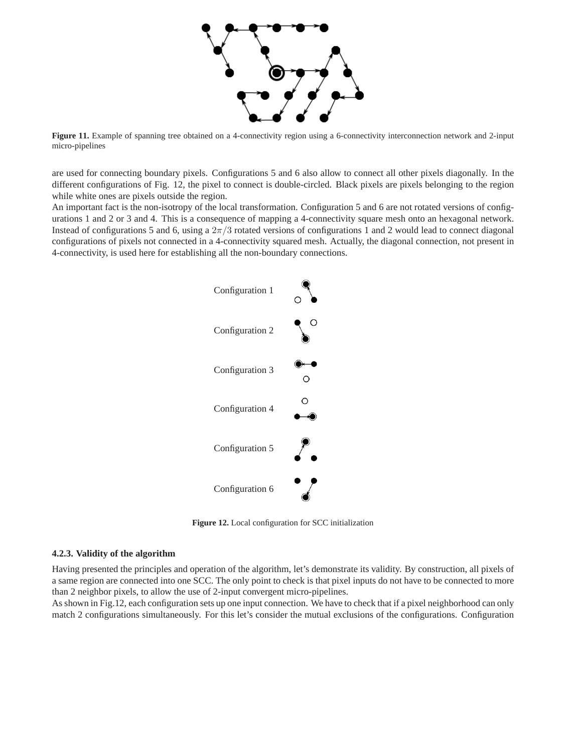

Figure 11. Example of spanning tree obtained on a 4-connectivity region using a 6-connectivity interconnection network and 2-input micro-pipelines

are used for connecting boundary pixels. Configurations 5 and 6 also allow to connect all other pixels diagonally. In the different configurations of Fig. 12, the pixel to connect is double-circled. Black pixels are pixels belonging to the region while white ones are pixels outside the region.

An important fact is the non-isotropy of the local transformation. Configuration 5 and 6 are not rotated versions of configurations 1 and 2 or 3 and 4. This is a consequence of mapping a 4-connectivity square mesh onto an hexagonal network. Instead of configurations 5 and 6, using a  $2\pi/3$  rotated versions of configurations 1 and 2 would lead to connect diagonal configurations of pixels not connected in a 4-connectivity squared mesh. Actually, the diagonal connection, not present in 4-connectivity, is used here for establishing all the non-boundary connections.



**Figure 12.** Local configuration for SCC initialization

#### **4.2.3. Validity of the algorithm**

Having presented the principles and operation of the algorithm, let's demonstrate its validity. By construction, all pixels of a same region are connected into one SCC. The only point to check is that pixel inputs do not have to be connected to more than 2 neighbor pixels, to allow the use of 2-input convergent micro-pipelines.

As shown in Fig.12, each configuration sets up one input connection. We have to check that if a pixel neighborhood can only match 2 configurations simultaneously. For this let's consider the mutual exclusions of the configurations. Configuration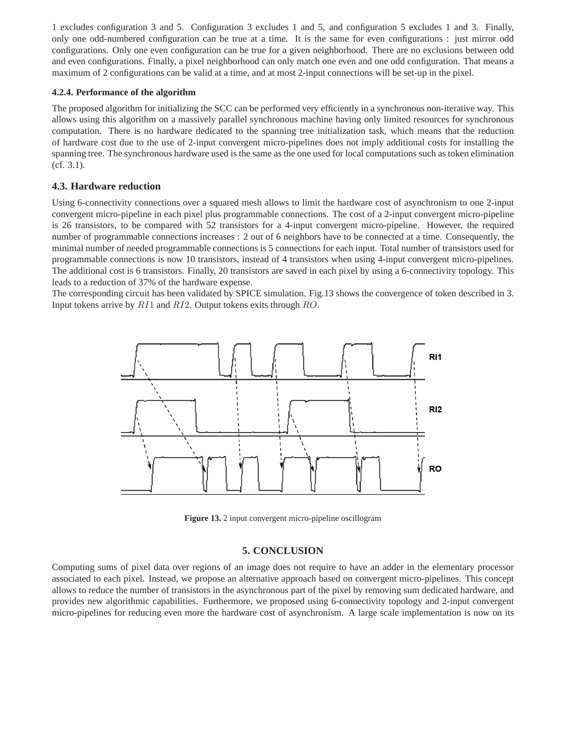1 excludes configuration 3 and 5. Configuration 3 excludes 1 and 5, and configuration 5 excludes 1 and 3. Finally, only one odd-numbered configuration can be true at a time. It is the same for even configurations : just mirror odd configurations. Only one even configuration can be true for a given neighborhood. There are no exclusions between odd and even configurations. Finally, a pixel neighborhood can only match one even and one odd configuration. That means a maximum of 2 configurations can be valid at a time, and at most 2-input connections will be set-up in the pixel.

#### **4.2.4. Performance of the algorithm**

The proposed algorithm for initializing the SCC can be performed very efficiently in a synchronous non-iterative way. This allows using this algorithm on a massively parallel synchronous machine having only limited resources for synchronous computation. There is no hardware dedicated to the spanning tree initialization task, which means that the reduction of hardware cost due to the use of 2-input convergent micro-pipelines does not imply additional costs for installing the spanning tree. The synchronous hardware used is the same as the one used for local computations such as token elimination (cf. 3.1).

# **4.3. Hardware reduction**

Using 6-connectivity connections over a squared mesh allows to limit the hardware cost of asynchronism to one 2-input convergent micro-pipeline in each pixel plus programmable connections. The cost of a 2-input convergent micro-pipeline is 26 transistors, to be compared with 52 transistors for a 4-input convergent micro-pipeline. However, the required number of programmable connections increases : 2 out of 6 neighbors have to be connected at a time. Consequently, the minimal number of needed programmable connections is 5 connections for each input. Total number of transistors used for programmable connections is now 10 transistors, instead of 4 transistors when using 4-input convergent micro-pipelines. The additional cost is 6 transistors. Finally, 20 transistors are saved in each pixel by using a 6-connectivity topology. This leads to a reduction of 37% of the hardware expense.

The corresponding circuit has been validated by SPICE simulation. Fig.13 shows the convergence of token described in 3. Input tokens arrive by  $R11$  and  $R12$ . Output tokens exits through  $RO$ .



**Figure 13.** 2 input convergent micro-pipeline oscillogram

# **5. CONCLUSION**

Computing sums of pixel data over regions of an image does not require to have an adder in the elementary processor associated to each pixel. Instead, we propose an alternative approach based on convergent micro-pipelines. This concept allows to reduce the number of transistors in the asynchronous part of the pixel by removing sum dedicated hardware, and provides new algorithmic capabilities. Furthermore, we proposed using 6-connectivity topology and 2-input convergent micro-pipelines for reducing even more the hardware cost of asynchronism. A large scale implementation is now on its